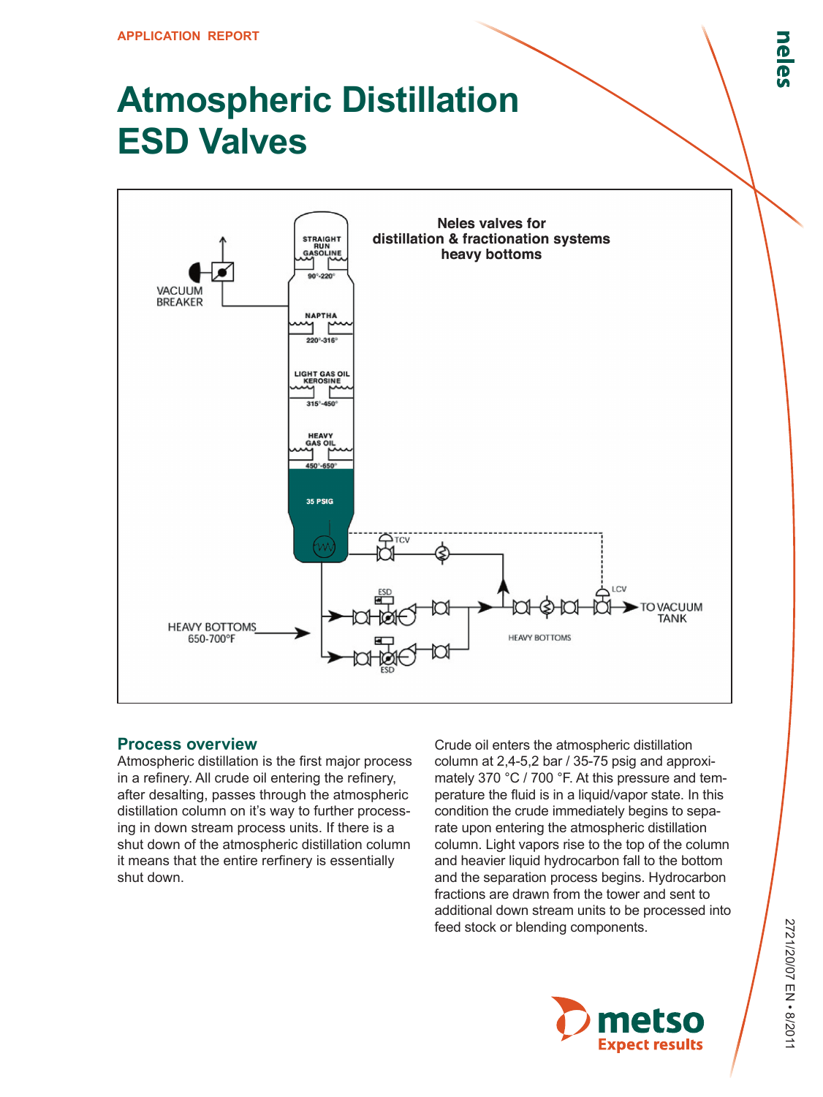# **Atmospheric Distillation ESD Valves**



#### **Process overview**

Atmospheric distillation is the first major process in a refinery. All crude oil entering the refinery, after desalting, passes through the atmospheric distillation column on it's way to further processing in down stream process units. If there is a shut down of the atmospheric distillation column it means that the entire rerfinery is essentially shut down.

Crude oil enters the atmospheric distillation column at 2,4-5,2 bar / 35-75 psig and approximately 370 °C / 700 °F. At this pressure and temperature the fluid is in a liquid/vapor state. In this condition the crude immediately begins to separate upon entering the atmospheric distillation column. Light vapors rise to the top of the column and heavier liquid hydrocarbon fall to the bottom and the separation process begins. Hydrocarbon fractions are drawn from the tower and sent to additional down stream units to be processed into feed stock or blending components.